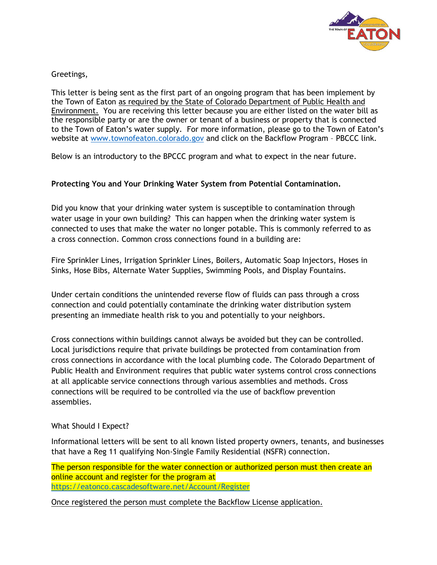

Greetings,

This letter is being sent as the first part of an ongoing program that has been implement by the Town of Eaton as required by the State of Colorado Department of Public Health and Environment. You are receiving this letter because you are either listed on the water bill as the responsible party or are the owner or tenant of a business or property that is connected to the Town of Eaton's water supply. For more information, please go to the Town of Eaton's website at [www.townofeaton.colorado.gov](http://www.townofeaton.colorado.gov/) and click on the Backflow Program – PBCCC link.

Below is an introductory to the BPCCC program and what to expect in the near future.

## **Protecting You and Your Drinking Water System from Potential Contamination.**

Did you know that your drinking water system is susceptible to contamination through water usage in your own building? This can happen when the drinking water system is connected to uses that make the water no longer potable. This is commonly referred to as a cross connection. Common cross connections found in a building are:

Fire Sprinkler Lines, Irrigation Sprinkler Lines, Boilers, Automatic Soap Injectors, Hoses in Sinks, Hose Bibs, Alternate Water Supplies, Swimming Pools, and Display Fountains.

Under certain conditions the unintended reverse flow of fluids can pass through a cross connection and could potentially contaminate the drinking water distribution system presenting an immediate health risk to you and potentially to your neighbors.

Cross connections within buildings cannot always be avoided but they can be controlled. Local jurisdictions require that private buildings be protected from contamination from cross connections in accordance with the local plumbing code. The Colorado Department of Public Health and Environment requires that public water systems control cross connections at all applicable service connections through various assemblies and methods. Cross connections will be required to be controlled via the use of backflow prevention assemblies.

## What Should I Expect?

Informational letters will be sent to all known listed property owners, tenants, and businesses that have a Reg 11 qualifying Non-Single Family Residential (NSFR) connection.

The person responsible for the water connection or authorized person must then create an online account and register for the program at <https://eatonco.cascadesoftware.net/Account/Register>

Once registered the person must complete the Backflow License application.